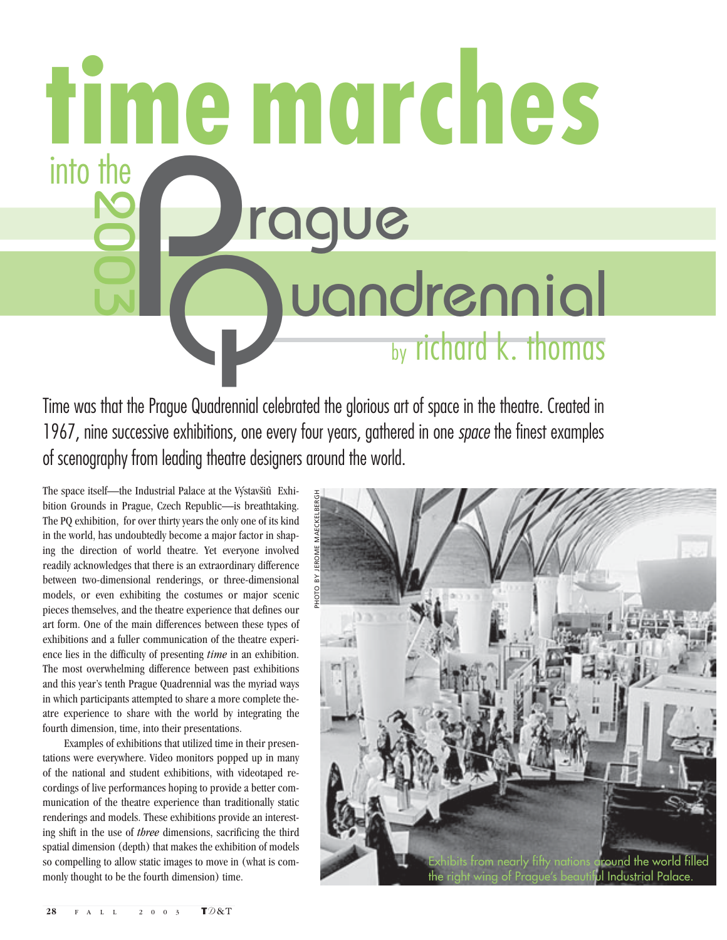P<br>C Q uandrennial 2003 rague uandrennial **time marches** into the

Time was that the Prague Quadrennial celebrated the glorious art of space in the theatre. Created in 1967, nine successive exhibitions, one every four years, gathered in one *space* the finest examples of scenography from leading theatre designers around the world.

The space itself—the Industrial Palace at the Výstavšitì Exhibition Grounds in Prague, Czech Republic—is breathtaking. The PQ exhibition, for over thirty years the only one of its kind in the world, has undoubtedly become a major factor in shaping the direction of world theatre. Yet everyone involved readily acknowledges that there is an extraordinary difference between two-dimensional renderings, or three-dimensional models, or even exhibiting the costumes or major scenic pieces themselves, and the theatre experience that defines our art form. One of the main differences between these types of exhibitions and a fuller communication of the theatre experience lies in the difficulty of presenting *time* in an exhibition. The most overwhelming difference between past exhibitions and this year's tenth Prague Quadrennial was the myriad ways in which participants attempted to share a more complete theatre experience to share with the world by integrating the fourth dimension, time, into their presentations.

Examples of exhibitions that utilized time in their presentations were everywhere. Video monitors popped up in many of the national and student exhibitions, with videotaped recordings of live performances hoping to provide a better communication of the theatre experience than traditionally static renderings and models. These exhibitions provide an interesting shift in the use of *three* dimensions, sacrificing the third spatial dimension (depth) that makes the exhibition of models so compelling to allow static images to move in (what is commonly thought to be the fourth dimension) time.

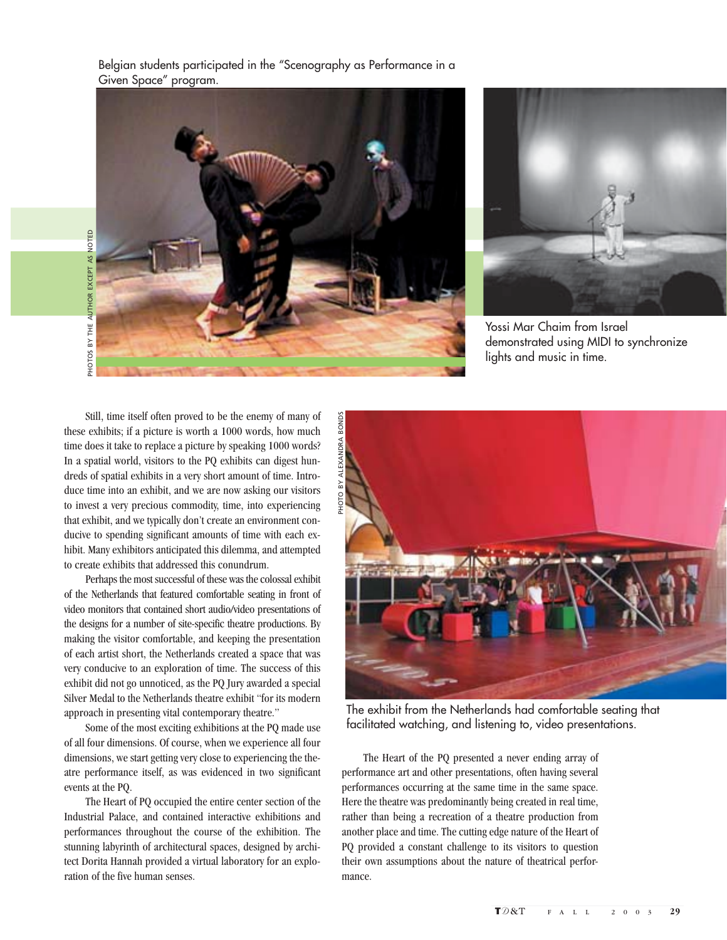Belgian students participated in the "Scenography as Performance in a Given Space" program.





Yossi Mar Chaim from Israel demonstrated using MIDI to synchronize lights and music in time.

Still, time itself often proved to be the enemy of many of these exhibits; if a picture is worth a 1000 words, how much time does it take to replace a picture by speaking 1000 words? In a spatial world, visitors to the PQ exhibits can digest hundreds of spatial exhibits in a very short amount of time. Introduce time into an exhibit, and we are now asking our visitors to invest a very precious commodity, time, into experiencing that exhibit, and we typically don't create an environment conducive to spending significant amounts of time with each exhibit. Many exhibitors anticipated this dilemma, and attempted to create exhibits that addressed this conundrum.

Perhaps the most successful of these was the colossal exhibit of the Netherlands that featured comfortable seating in front of video monitors that contained short audio/video presentations of the designs for a number of site-specific theatre productions. By making the visitor comfortable, and keeping the presentation of each artist short, the Netherlands created a space that was very conducive to an exploration of time. The success of this exhibit did not go unnoticed, as the PQ Jury awarded a special Silver Medal to the Netherlands theatre exhibit "for its modern approach in presenting vital contemporary theatre."

Some of the most exciting exhibitions at the PQ made use of all four dimensions. Of course, when we experience all four dimensions, we start getting very close to experiencing the theatre performance itself, as was evidenced in two significant events at the PQ.

The Heart of PQ occupied the entire center section of the Industrial Palace, and contained interactive exhibitions and performances throughout the course of the exhibition. The stunning labyrinth of architectural spaces, designed by architect Dorita Hannah provided a virtual laboratory for an exploration of the five human senses.



The exhibit from the Netherlands had comfortable seating that facilitated watching, and listening to, video presentations.

The Heart of the PQ presented a never ending array of performance art and other presentations, often having several performances occurring at the same time in the same space. Here the theatre was predominantly being created in real time, rather than being a recreation of a theatre production from another place and time. The cutting edge nature of the Heart of PQ provided a constant challenge to its visitors to question their own assumptions about the nature of theatrical performance.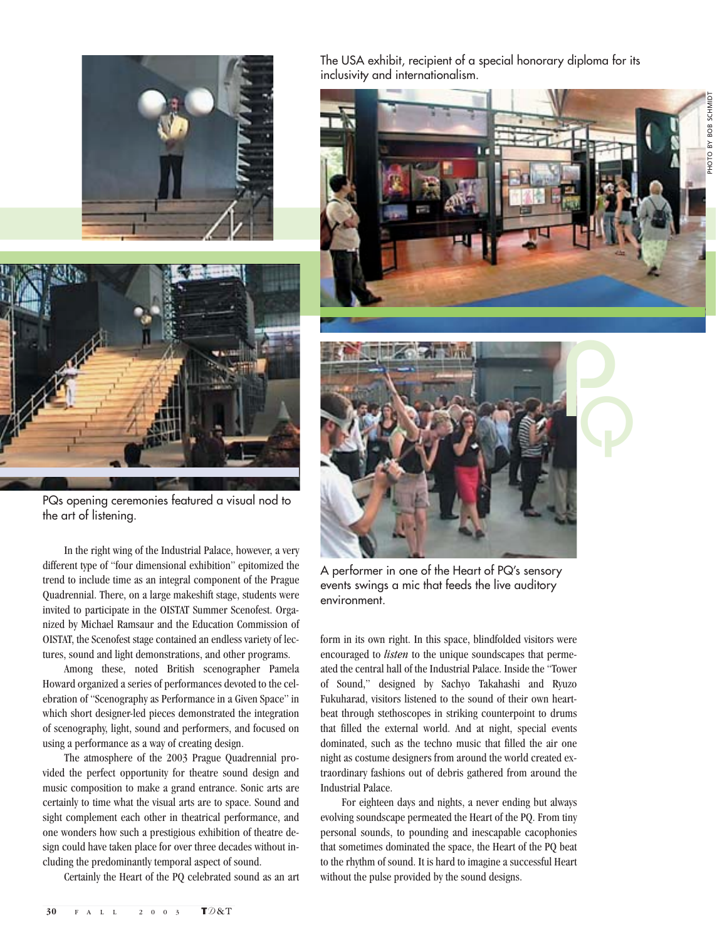



PQs opening ceremonies featured a visual nod to the art of listening.

In the right wing of the Industrial Palace, however, a very different type of "four dimensional exhibition" epitomized the trend to include time as an integral component of the Prague Quadrennial. There, on a large makeshift stage, students were invited to participate in the OISTAT Summer Scenofest. Organized by Michael Ramsaur and the Education Commission of OISTAT, the Scenofest stage contained an endless variety of lectures, sound and light demonstrations, and other programs.

Among these, noted British scenographer Pamela Howard organized a series of performances devoted to the celebration of "Scenography as Performance in a Given Space" in which short designer-led pieces demonstrated the integration of scenography, light, sound and performers, and focused on using a performance as a way of creating design.

The atmosphere of the 2003 Prague Quadrennial provided the perfect opportunity for theatre sound design and music composition to make a grand entrance. Sonic arts are certainly to time what the visual arts are to space. Sound and sight complement each other in theatrical performance, and one wonders how such a prestigious exhibition of theatre design could have taken place for over three decades without including the predominantly temporal aspect of sound.

Certainly the Heart of the PQ celebrated sound as an art

The USA exhibit, recipient of a special honorary diploma for its inclusivity and internationalism.





A performer in one of the Heart of PQ's sensory events swings a mic that feeds the live auditory environment.

form in its own right. In this space, blindfolded visitors were encouraged to *listen* to the unique soundscapes that permeated the central hall of the Industrial Palace. Inside the "Tower of Sound," designed by Sachyo Takahashi and Ryuzo Fukuharad, visitors listened to the sound of their own heartbeat through stethoscopes in striking counterpoint to drums that filled the external world. And at night, special events dominated, such as the techno music that filled the air one night as costume designers from around the world created extraordinary fashions out of debris gathered from around the Industrial Palace.

For eighteen days and nights, a never ending but always evolving soundscape permeated the Heart of the PQ. From tiny personal sounds, to pounding and inescapable cacophonies that sometimes dominated the space, the Heart of the PQ beat to the rhythm of sound. It is hard to imagine a successful Heart without the pulse provided by the sound designs.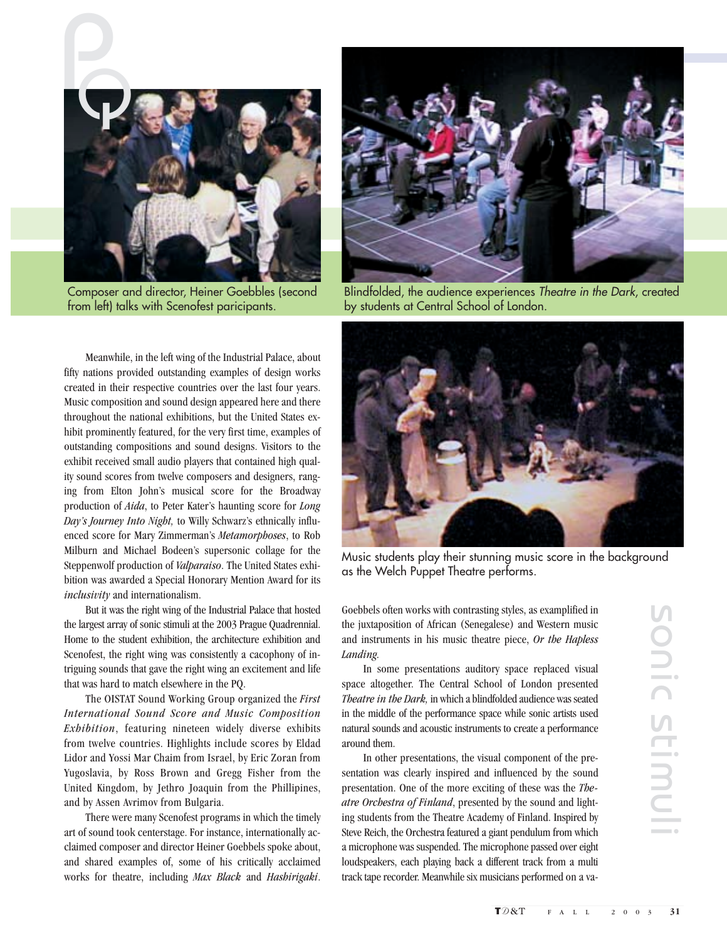

Composer and director, Heiner Goebbles (second from left) talks with Scenofest paricipants.

Meanwhile, in the left wing of the Industrial Palace, about fifty nations provided outstanding examples of design works created in their respective countries over the last four years. Music composition and sound design appeared here and there throughout the national exhibitions, but the United States exhibit prominently featured, for the very first time, examples of outstanding compositions and sound designs. Visitors to the exhibit received small audio players that contained high quality sound scores from twelve composers and designers, ranging from Elton John's musical score for the Broadway production of *Aida*, to Peter Kater's haunting score for *Long Day's Journey Into Night,* to Willy Schwarz's ethnically influenced score for Mary Zimmerman's *Metamorphoses*, to Rob Milburn and Michael Bodeen's supersonic collage for the Steppenwolf production of *Valparaiso*. The United States exhibition was awarded a Special Honorary Mention Award for its *inclusivity* and internationalism.

But it was the right wing of the Industrial Palace that hosted the largest array of sonic stimuli at the 2003 Prague Quadrennial. Home to the student exhibition, the architecture exhibition and Scenofest, the right wing was consistently a cacophony of intriguing sounds that gave the right wing an excitement and life that was hard to match elsewhere in the PQ.

The OISTAT Sound Working Group organized the *First International Sound Score and Music Composition Exhibition*, featuring nineteen widely diverse exhibits from twelve countries. Highlights include scores by Eldad Lidor and Yossi Mar Chaim from Israel, by Eric Zoran from Yugoslavia, by Ross Brown and Gregg Fisher from the United Kingdom, by Jethro Joaquin from the Phillipines, and by Assen Avrimov from Bulgaria.

There were many Scenofest programs in which the timely art of sound took centerstage. For instance, internationally acclaimed composer and director Heiner Goebbels spoke about, and shared examples of, some of his critically acclaimed works for theatre, including *Max Black* and *Hashirigaki*.



Blindfolded, the audience experiences Theatre in the Dark, created by students at Central School of London.



Music students play their stunning music score in the background as the Welch Puppet Theatre performs.

Goebbels often works with contrasting styles, as examplified in the juxtaposition of African (Senegalese) and Western music and instruments in his music theatre piece, *Or the Hapless Landing.*

In some presentations auditory space replaced visual space altogether. The Central School of London presented *Theatre in the Dark,* in which a blindfolded audience was seated in the middle of the performance space while sonic artists used natural sounds and acoustic instruments to create a performance around them.

In other presentations, the visual component of the presentation was clearly inspired and influenced by the sound presentation. One of the more exciting of these was the *Theatre Orchestra of Finland*, presented by the sound and lighting students from the Theatre Academy of Finland. Inspired by Steve Reich, the Orchestra featured a giant pendulum from which a microphone was suspended. The microphone passed over eight loudspeakers, each playing back a different track from a multi track tape recorder. Meanwhile six musicians performed on a va-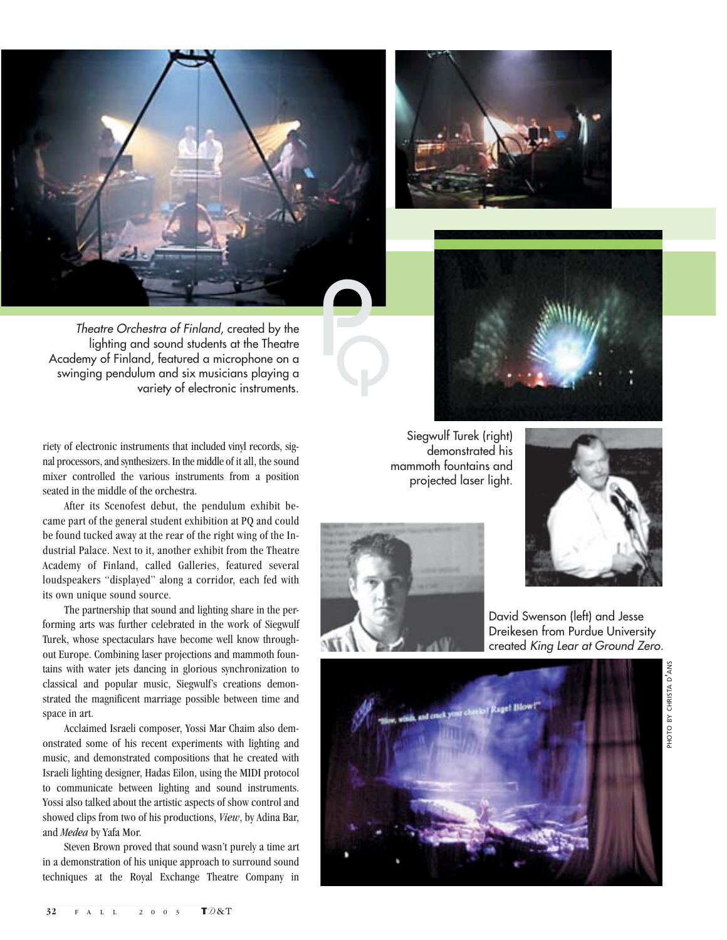





Theatre Orchestra of Finland, created by the lighting and sound students at the Theatre Academy of Finland, featured a microphone on a swinging pendulum and six musicians playing a variety of electronic instruments.

riety of electronic instruments that included vinyl records, signal processors, and synthesizers. In the middle of it all, the sound mixer controlled the various instruments from a position seated in the middle of the orchestra.

After its Scenofest debut, the pendulum exhibit became part of the general student exhibition at PQ and could be found tucked away at the rear of the right wing of the Industrial Palace. Next to it, another exhibit from the Theatre Academy of Finland, called Galleries, featured several loudspeakers "displayed" along a corridor, each fed with its own unique sound source.

The partnership that sound and lighting share in the performing arts was further celebrated in the work of Siegwulf Turek, whose spectaculars have become well know throughout Europe. Combining laser projections and mammoth fountains with water jets dancing in glorious synchronization to classical and popular music, Siegwulf's creations demonstrated the magnificent marriage possible between time and space in art.

Acclaimed Israeli composer, Yossi Mar Chaim also demonstrated some of his recent experiments with lighting and music, and demonstrated compositions that he created with Israeli lighting designer, Hadas Eilon, using the MIDI protocol to communicate between lighting and sound instruments. Yossi also talked about the artistic aspects of show control and showed clips from two of his productions, *View*, by Adina Bar, and *Medea* by Yafa Mor.

Steven Brown proved that sound wasn't purely a time art in a demonstration of his unique approach to surround sound techniques at the Royal Exchange Theatre Company in

Siegwulf Turek (right) demonstrated his mammoth fountains and projected laser light.



Q



David Swenson (left) and Jesse Dreikesen from Purdue University created King Lear at Ground Zero.